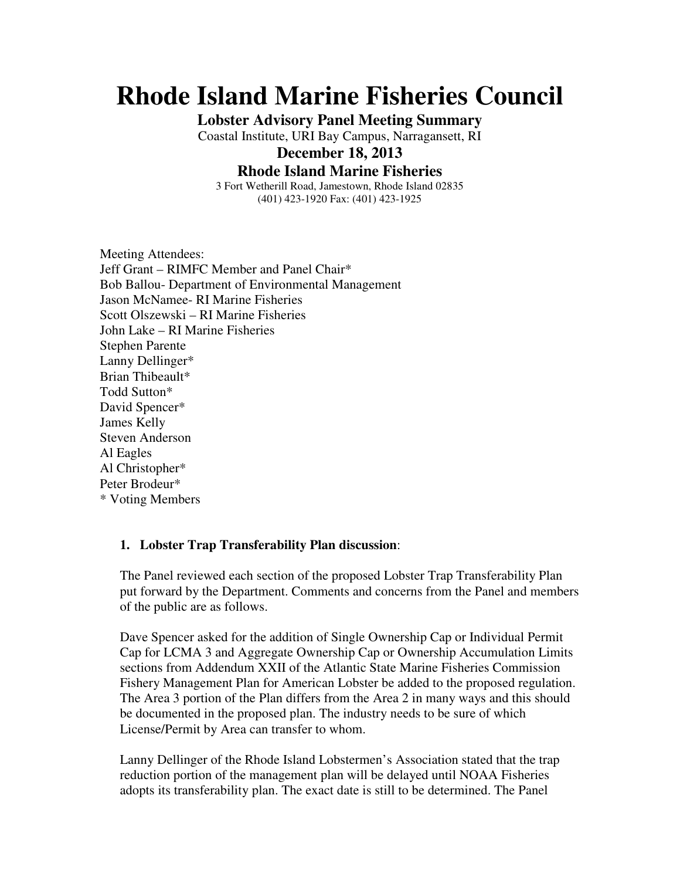# **Rhode Island Marine Fisheries Council**

**Lobster Advisory Panel Meeting Summary** 

Coastal Institute, URI Bay Campus, Narragansett, RI

## **December 18, 2013**

#### **Rhode Island Marine Fisheries**

3 Fort Wetherill Road, Jamestown, Rhode Island 02835 (401) 423-1920 Fax: (401) 423-1925

Meeting Attendees: Jeff Grant – RIMFC Member and Panel Chair\* Bob Ballou- Department of Environmental Management Jason McNamee- RI Marine Fisheries Scott Olszewski – RI Marine Fisheries John Lake – RI Marine Fisheries Stephen Parente Lanny Dellinger\* Brian Thibeault\* Todd Sutton\* David Spencer\* James Kelly Steven Anderson Al Eagles Al Christopher\* Peter Brodeur\* \* Voting Members

#### **1. Lobster Trap Transferability Plan discussion**:

The Panel reviewed each section of the proposed Lobster Trap Transferability Plan put forward by the Department. Comments and concerns from the Panel and members of the public are as follows.

Dave Spencer asked for the addition of Single Ownership Cap or Individual Permit Cap for LCMA 3 and Aggregate Ownership Cap or Ownership Accumulation Limits sections from Addendum XXII of the Atlantic State Marine Fisheries Commission Fishery Management Plan for American Lobster be added to the proposed regulation. The Area 3 portion of the Plan differs from the Area 2 in many ways and this should be documented in the proposed plan. The industry needs to be sure of which License/Permit by Area can transfer to whom.

Lanny Dellinger of the Rhode Island Lobstermen's Association stated that the trap reduction portion of the management plan will be delayed until NOAA Fisheries adopts its transferability plan. The exact date is still to be determined. The Panel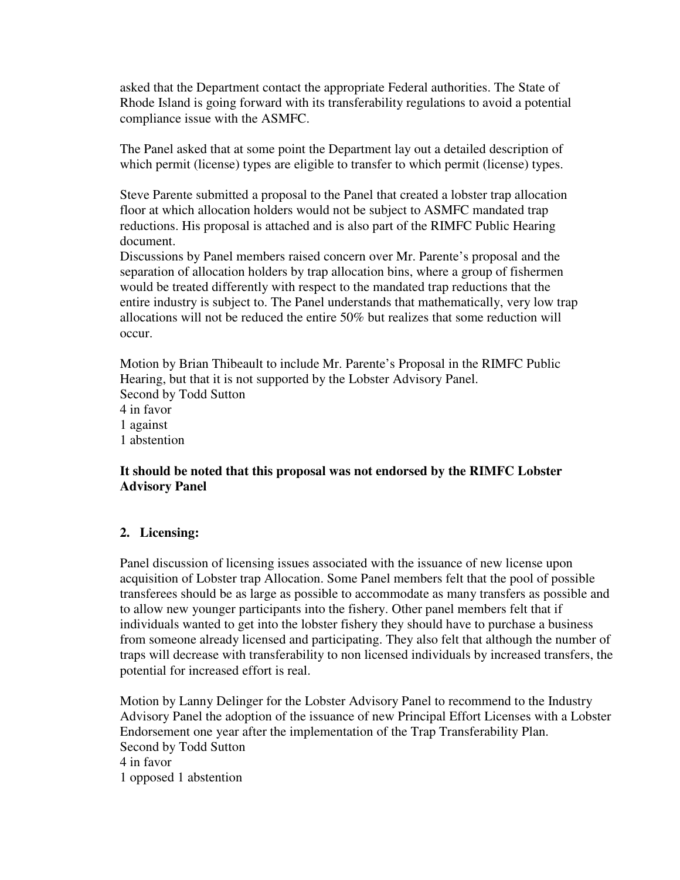asked that the Department contact the appropriate Federal authorities. The State of Rhode Island is going forward with its transferability regulations to avoid a potential compliance issue with the ASMFC.

The Panel asked that at some point the Department lay out a detailed description of which permit (license) types are eligible to transfer to which permit (license) types.

Steve Parente submitted a proposal to the Panel that created a lobster trap allocation floor at which allocation holders would not be subject to ASMFC mandated trap reductions. His proposal is attached and is also part of the RIMFC Public Hearing document.

Discussions by Panel members raised concern over Mr. Parente's proposal and the separation of allocation holders by trap allocation bins, where a group of fishermen would be treated differently with respect to the mandated trap reductions that the entire industry is subject to. The Panel understands that mathematically, very low trap allocations will not be reduced the entire 50% but realizes that some reduction will occur.

Motion by Brian Thibeault to include Mr. Parente's Proposal in the RIMFC Public Hearing, but that it is not supported by the Lobster Advisory Panel. Second by Todd Sutton 4 in favor 1 against 1 abstention

## **It should be noted that this proposal was not endorsed by the RIMFC Lobster Advisory Panel**

## **2. Licensing:**

Panel discussion of licensing issues associated with the issuance of new license upon acquisition of Lobster trap Allocation. Some Panel members felt that the pool of possible transferees should be as large as possible to accommodate as many transfers as possible and to allow new younger participants into the fishery. Other panel members felt that if individuals wanted to get into the lobster fishery they should have to purchase a business from someone already licensed and participating. They also felt that although the number of traps will decrease with transferability to non licensed individuals by increased transfers, the potential for increased effort is real.

Motion by Lanny Delinger for the Lobster Advisory Panel to recommend to the Industry Advisory Panel the adoption of the issuance of new Principal Effort Licenses with a Lobster Endorsement one year after the implementation of the Trap Transferability Plan. Second by Todd Sutton 4 in favor 1 opposed 1 abstention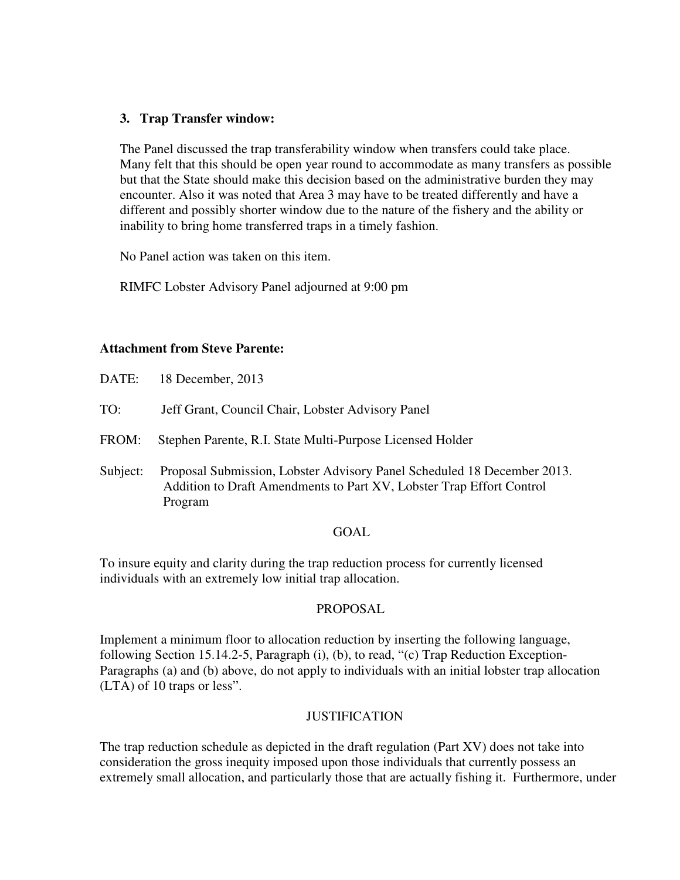## **3. Trap Transfer window:**

The Panel discussed the trap transferability window when transfers could take place. Many felt that this should be open year round to accommodate as many transfers as possible but that the State should make this decision based on the administrative burden they may encounter. Also it was noted that Area 3 may have to be treated differently and have a different and possibly shorter window due to the nature of the fishery and the ability or inability to bring home transferred traps in a timely fashion.

No Panel action was taken on this item.

RIMFC Lobster Advisory Panel adjourned at 9:00 pm

#### **Attachment from Steve Parente:**

- TO: Jeff Grant, Council Chair, Lobster Advisory Panel
- FROM: Stephen Parente, R.I. State Multi-Purpose Licensed Holder
- Subject: Proposal Submission, Lobster Advisory Panel Scheduled 18 December 2013. Addition to Draft Amendments to Part XV, Lobster Trap Effort Control Program

#### GOAL

To insure equity and clarity during the trap reduction process for currently licensed individuals with an extremely low initial trap allocation.

#### PROPOSAL

Implement a minimum floor to allocation reduction by inserting the following language, following Section 15.14.2-5, Paragraph (i), (b), to read, "(c) Trap Reduction Exception-Paragraphs (a) and (b) above, do not apply to individuals with an initial lobster trap allocation (LTA) of 10 traps or less".

## **JUSTIFICATION**

The trap reduction schedule as depicted in the draft regulation (Part XV) does not take into consideration the gross inequity imposed upon those individuals that currently possess an extremely small allocation, and particularly those that are actually fishing it. Furthermore, under